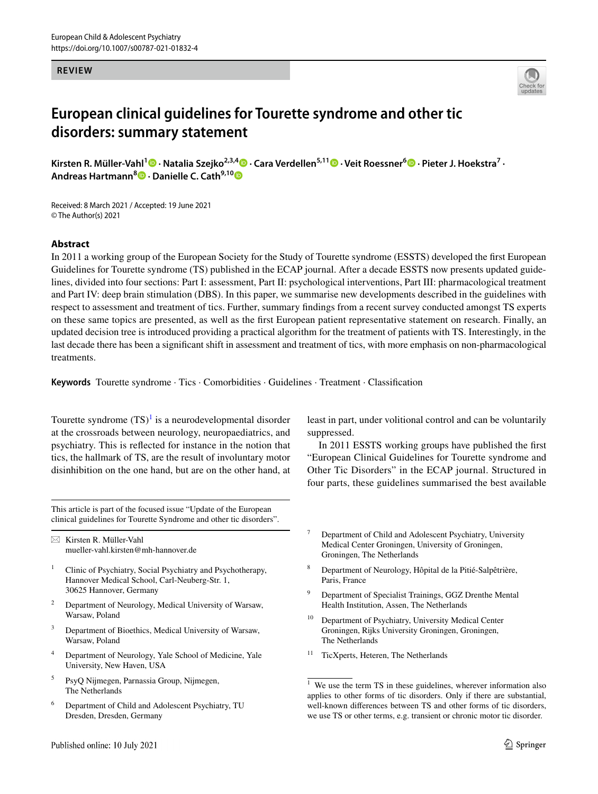### **REVIEW**



# **European clinical guidelines for Tourette syndrome and other tic disorders: summary statement**

**Kirsten R. Müller‑Vahl<sup>1</sup> · Natalia Szejko2,3,4  [·](http://orcid.org/0000-0001-6160-9221) Cara Verdellen5,11 · Veit Roessner6 · Pieter J. Hoekstra7 · Andreas Hartmann**<sup>[8](http://orcid.org/0000-0002-0335-984X)</sup><sup>**D**</sup> · Danielle C. Cath<sup>9,1[0](http://orcid.org/0000-0001-9539-4118)</sup><sup><sup>D</sup></del></sup>

Received: 8 March 2021 / Accepted: 19 June 2021 © The Author(s) 2021

## **Abstract**

In 2011 a working group of the European Society for the Study of Tourette syndrome (ESSTS) developed the frst European Guidelines for Tourette syndrome (TS) published in the ECAP journal. After a decade ESSTS now presents updated guidelines, divided into four sections: Part I: assessment, Part II: psychological interventions, Part III: pharmacological treatment and Part IV: deep brain stimulation (DBS). In this paper, we summarise new developments described in the guidelines with respect to assessment and treatment of tics. Further, summary fndings from a recent survey conducted amongst TS experts on these same topics are presented, as well as the frst European patient representative statement on research. Finally, an updated decision tree is introduced providing a practical algorithm for the treatment of patients with TS. Interestingly, in the last decade there has been a signifcant shift in assessment and treatment of tics, with more emphasis on non-pharmacological treatments.

**Keywords** Tourette syndrome · Tics · Comorbidities · Guidelines · Treatment · Classifcation

Tourette syndrome  $(TS)^{1}$  $(TS)^{1}$  $(TS)^{1}$  is a neurodevelopmental disorder at the crossroads between neurology, neuropaediatrics, and psychiatry. This is refected for instance in the notion that tics, the hallmark of TS, are the result of involuntary motor disinhibition on the one hand, but are on the other hand, at

This article is part of the focused issue "Update of the European clinical guidelines for Tourette Syndrome and other tic disorders".

 $\boxtimes$  Kirsten R. Müller-Vahl mueller-vahl.kirsten@mh-hannover.de

- <sup>1</sup> Clinic of Psychiatry, Social Psychiatry and Psychotherapy, Hannover Medical School, Carl-Neuberg-Str. 1, 30625 Hannover, Germany
- Department of Neurology, Medical University of Warsaw, Warsaw, Poland
- Department of Bioethics, Medical University of Warsaw, Warsaw, Poland
- <sup>4</sup> Department of Neurology, Yale School of Medicine, Yale University, New Haven, USA
- <sup>5</sup> PsyQ Nijmegen, Parnassia Group, Nijmegen, The Netherlands
- <sup>6</sup> Department of Child and Adolescent Psychiatry, TU Dresden, Dresden, Germany

least in part, under volitional control and can be voluntarily suppressed.

In 2011 ESSTS working groups have published the frst "European Clinical Guidelines for Tourette syndrome and Other Tic Disorders" in the ECAP journal. Structured in four parts, these guidelines summarised the best available

- <sup>7</sup> Department of Child and Adolescent Psychiatry, University Medical Center Groningen, University of Groningen, Groningen, The Netherlands
- <sup>8</sup> Department of Neurology, Hôpital de la Pitié-Salpêtrière, Paris, France
- <sup>9</sup> Department of Specialist Trainings, GGZ Drenthe Mental Health Institution, Assen, The Netherlands
- <sup>10</sup> Department of Psychiatry, University Medical Center Groningen, Rijks University Groningen, Groningen, The Netherlands
- TicXperts, Heteren, The Netherlands

<span id="page-0-0"></span> $\frac{1}{1}$  We use the term TS in these guidelines, wherever information also applies to other forms of tic disorders. Only if there are substantial, well-known diferences between TS and other forms of tic disorders, we use TS or other terms, e.g. transient or chronic motor tic disorder.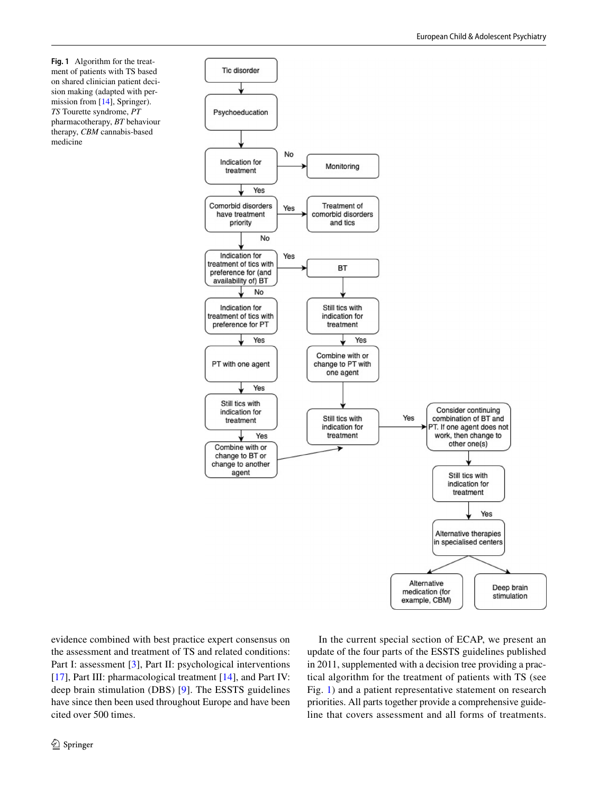<span id="page-1-0"></span>**Fig. 1** Algorithm for the treatment of patients with TS based on shared clinician patient decision making (adapted with permission from [\[14\]](#page-5-0), Springer). *TS* Tourette syndrome, *PT* pharmacotherapy, *BT* behaviour therapy, *CBM* cannabis-based medicine



evidence combined with best practice expert consensus on the assessment and treatment of TS and related conditions: Part I: assessment [[3](#page-4-0)], Part II: psychological interventions [\[17\]](#page-5-1), Part III: pharmacological treatment [[14\]](#page-5-0), and Part IV: deep brain stimulation (DBS) [[9](#page-4-1)]. The ESSTS guidelines have since then been used throughout Europe and have been cited over 500 times.

In the current special section of ECAP, we present an update of the four parts of the ESSTS guidelines published in 2011, supplemented with a decision tree providing a practical algorithm for the treatment of patients with TS (see Fig. [1\)](#page-1-0) and a patient representative statement on research priorities. All parts together provide a comprehensive guideline that covers assessment and all forms of treatments.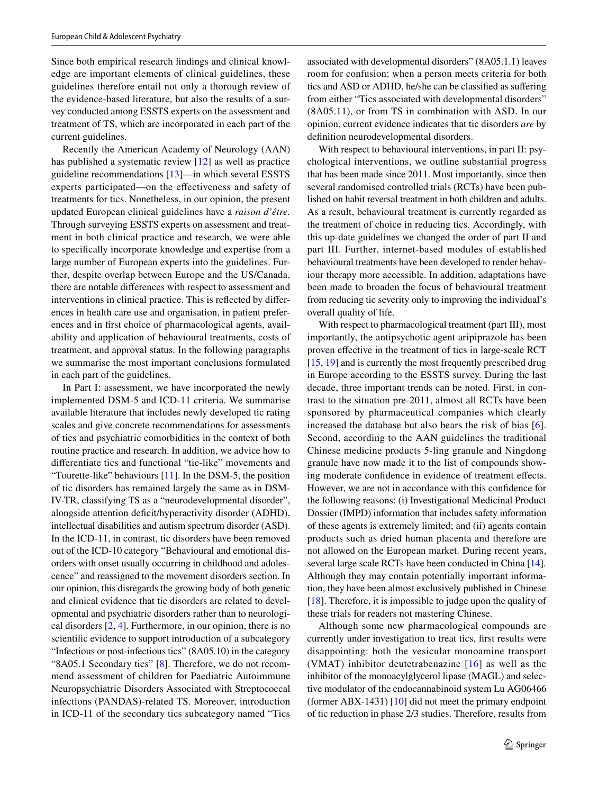Since both empirical research fndings and clinical knowledge are important elements of clinical guidelines, these guidelines therefore entail not only a thorough review of the evidence-based literature, but also the results of a survey conducted among ESSTS experts on the assessment and treatment of TS, which are incorporated in each part of the current guidelines.

Recently the American Academy of Neurology (AAN) has published a systematic review [\[12](#page-5-2)] as well as practice guideline recommendations [[13\]](#page-5-3)—in which several ESSTS experts participated—on the efectiveness and safety of treatments for tics. Nonetheless, in our opinion, the present updated European clinical guidelines have a *raison d'être.* Through surveying ESSTS experts on assessment and treatment in both clinical practice and research, we were able to specifcally incorporate knowledge and expertise from a large number of European experts into the guidelines. Further, despite overlap between Europe and the US/Canada, there are notable diferences with respect to assessment and interventions in clinical practice. This is refected by diferences in health care use and organisation, in patient preferences and in frst choice of pharmacological agents, availability and application of behavioural treatments, costs of treatment, and approval status. In the following paragraphs we summarise the most important conclusions formulated in each part of the guidelines.

In Part I: assessment, we have incorporated the newly implemented DSM-5 and ICD-11 criteria. We summarise available literature that includes newly developed tic rating scales and give concrete recommendations for assessments of tics and psychiatric comorbidities in the context of both routine practice and research. In addition, we advice how to diferentiate tics and functional "tic-like" movements and "Tourette-like" behaviours [[11\]](#page-5-4). In the DSM-5, the position of tic disorders has remained largely the same as in DSM-IV-TR, classifying TS as a "neurodevelopmental disorder", alongside attention deficit/hyperactivity disorder (ADHD), intellectual disabilities and autism spectrum disorder (ASD). In the ICD-11, in contrast, tic disorders have been removed out of the ICD-10 category "Behavioural and emotional disorders with onset usually occurring in childhood and adolescence" and reassigned to the movement disorders section. In our opinion, this disregards the growing body of both genetic and clinical evidence that tic disorders are related to developmental and psychiatric disorders rather than to neurological disorders  $[2, 4]$  $[2, 4]$  $[2, 4]$  $[2, 4]$ . Furthermore, in our opinion, there is no scientifc evidence to support introduction of a subcategory "Infectious or post-infectious tics" (8A05.10) in the category "8A05.1 Secondary tics" [[8\]](#page-4-4). Therefore, we do not recommend assessment of children for Paediatric Autoimmune Neuropsychiatric Disorders Associated with Streptococcal infections (PANDAS)-related TS. Moreover, introduction in ICD-11 of the secondary tics subcategory named "Tics associated with developmental disorders" (8A05.1.1) leaves room for confusion; when a person meets criteria for both tics and ASD or ADHD, he/she can be classifed as sufering from either "Tics associated with developmental disorders" (8A05.11), or from TS in combination with ASD. In our opinion, current evidence indicates that tic disorders *are* by defnition neurodevelopmental disorders.

With respect to behavioural interventions, in part II: psychological interventions, we outline substantial progress that has been made since 2011. Most importantly, since then several randomised controlled trials (RCTs) have been published on habit reversal treatment in both children and adults. As a result, behavioural treatment is currently regarded as the treatment of choice in reducing tics. Accordingly, with this up-date guidelines we changed the order of part II and part III. Further, internet-based modules of established behavioural treatments have been developed to render behaviour therapy more accessible. In addition, adaptations have been made to broaden the focus of behavioural treatment from reducing tic severity only to improving the individual's overall quality of life.

With respect to pharmacological treatment (part III), most importantly, the antipsychotic agent aripiprazole has been proven efective in the treatment of tics in large-scale RCT [\[15](#page-5-5), [19](#page-5-6)] and is currently the most frequently prescribed drug in Europe according to the ESSTS survey. During the last decade, three important trends can be noted. First, in contrast to the situation pre-2011, almost all RCTs have been sponsored by pharmaceutical companies which clearly increased the database but also bears the risk of bias [[6](#page-4-5)]. Second, according to the AAN guidelines the traditional Chinese medicine products 5-ling granule and Ningdong granule have now made it to the list of compounds showing moderate confidence in evidence of treatment effects. However, we are not in accordance with this confdence for the following reasons: (i) Investigational Medicinal Product Dossier (IMPD) information that includes safety information of these agents is extremely limited; and (ii) agents contain products such as dried human placenta and therefore are not allowed on the European market. During recent years, several large scale RCTs have been conducted in China [[14](#page-5-0)]. Although they may contain potentially important information, they have been almost exclusively published in Chinese [\[18\]](#page-5-7). Therefore, it is impossible to judge upon the quality of these trials for readers not mastering Chinese.

Although some new pharmacological compounds are currently under investigation to treat tics, frst results were disappointing: both the vesicular monoamine transport (VMAT) inhibitor deutetrabenazine [[16](#page-5-8)] as well as the inhibitor of the monoacylglycerol lipase (MAGL) and selective modulator of the endocannabinoid system Lu AG06466 (former ABX-1431) [\[10](#page-4-6)] did not meet the primary endpoint of tic reduction in phase 2/3 studies. Therefore, results from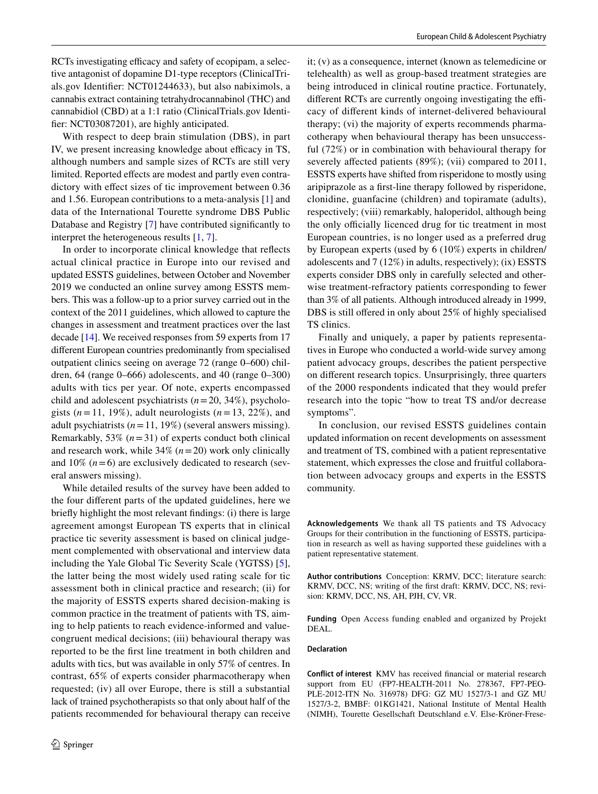RCTs investigating efficacy and safety of ecopipam, a selective antagonist of dopamine D1-type receptors (ClinicalTrials.gov Identifer: NCT01244633), but also nabiximols, a cannabis extract containing tetrahydrocannabinol (THC) and cannabidiol (CBD) at a 1:1 ratio (ClinicalTrials.gov Identifer: NCT03087201), are highly anticipated.

With respect to deep brain stimulation (DBS), in part IV, we present increasing knowledge about efficacy in TS, although numbers and sample sizes of RCTs are still very limited. Reported effects are modest and partly even contradictory with effect sizes of tic improvement between  $0.36$ and 1.56. European contributions to a meta-analysis [\[1](#page-4-7)] and data of the International Tourette syndrome DBS Public Database and Registry [[7](#page-4-8)] have contributed signifcantly to interpret the heterogeneous results [[1,](#page-4-7) [7\]](#page-4-8).

In order to incorporate clinical knowledge that refects actual clinical practice in Europe into our revised and updated ESSTS guidelines, between October and November 2019 we conducted an online survey among ESSTS members. This was a follow-up to a prior survey carried out in the context of the 2011 guidelines, which allowed to capture the changes in assessment and treatment practices over the last decade [\[14\]](#page-5-0). We received responses from 59 experts from 17 diferent European countries predominantly from specialised outpatient clinics seeing on average 72 (range 0–600) children, 64 (range 0–666) adolescents, and 40 (range 0–300) adults with tics per year. Of note, experts encompassed child and adolescent psychiatrists (*n*=20, 34%), psychologists  $(n=11, 19\%)$ , adult neurologists  $(n=13, 22\%)$ , and adult psychiatrists (*n*=11, 19%) (several answers missing). Remarkably,  $53\%$  ( $n=31$ ) of experts conduct both clinical and research work, while 34% (*n*=20) work only clinically and  $10\%$  ( $n=6$ ) are exclusively dedicated to research (several answers missing).

While detailed results of the survey have been added to the four diferent parts of the updated guidelines, here we briefy highlight the most relevant fndings: (i) there is large agreement amongst European TS experts that in clinical practice tic severity assessment is based on clinical judgement complemented with observational and interview data including the Yale Global Tic Severity Scale (YGTSS) [\[5](#page-4-9)], the latter being the most widely used rating scale for tic assessment both in clinical practice and research; (ii) for the majority of ESSTS experts shared decision-making is common practice in the treatment of patients with TS, aiming to help patients to reach evidence-informed and valuecongruent medical decisions; (iii) behavioural therapy was reported to be the frst line treatment in both children and adults with tics, but was available in only 57% of centres. In contrast, 65% of experts consider pharmacotherapy when requested; (iv) all over Europe, there is still a substantial lack of trained psychotherapists so that only about half of the patients recommended for behavioural therapy can receive it; (v) as a consequence, internet (known as telemedicine or telehealth) as well as group-based treatment strategies are being introduced in clinical routine practice. Fortunately, different RCTs are currently ongoing investigating the efficacy of diferent kinds of internet-delivered behavioural therapy; (vi) the majority of experts recommends pharmacotherapy when behavioural therapy has been unsuccessful (72%) or in combination with behavioural therapy for severely affected patients (89%); (vii) compared to 2011, ESSTS experts have shifted from risperidone to mostly using aripiprazole as a frst-line therapy followed by risperidone, clonidine, guanfacine (children) and topiramate (adults), respectively; (viii) remarkably, haloperidol, although being the only officially licenced drug for tic treatment in most European countries, is no longer used as a preferred drug by European experts (used by 6 (10%) experts in children/ adolescents and 7 (12%) in adults, respectively); (ix) ESSTS experts consider DBS only in carefully selected and otherwise treatment-refractory patients corresponding to fewer than 3% of all patients. Although introduced already in 1999, DBS is still offered in only about 25% of highly specialised TS clinics.

Finally and uniquely, a paper by patients representatives in Europe who conducted a world-wide survey among patient advocacy groups, describes the patient perspective on diferent research topics. Unsurprisingly, three quarters of the 2000 respondents indicated that they would prefer research into the topic "how to treat TS and/or decrease symptoms".

In conclusion, our revised ESSTS guidelines contain updated information on recent developments on assessment and treatment of TS, combined with a patient representative statement, which expresses the close and fruitful collaboration between advocacy groups and experts in the ESSTS community.

**Acknowledgements** We thank all TS patients and TS Advocacy Groups for their contribution in the functioning of ESSTS, participation in research as well as having supported these guidelines with a patient representative statement.

**Author contributions** Conception: KRMV, DCC; literature search: KRMV, DCC, NS; writing of the frst draft: KRMV, DCC, NS; revision: KRMV, DCC, NS, AH, PJH, CV, VR.

**Funding** Open Access funding enabled and organized by Projekt DEAL.

#### **Declaration**

**Conflict of interest** KMV has received fnancial or material research support from EU (FP7-HEALTH-2011 No. 278367, FP7-PEO-PLE-2012-ITN No. 316978) DFG: GZ MU 1527/3-1 and GZ MU 1527/3-2, BMBF: 01KG1421, National Institute of Mental Health (NIMH), Tourette Gesellschaft Deutschland e.V. Else-Kröner-Frese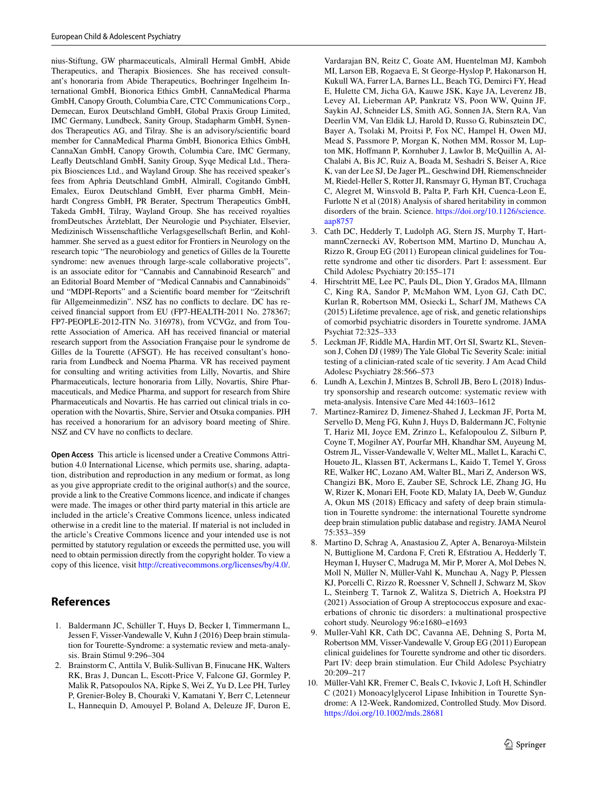nius-Stiftung, GW pharmaceuticals, Almirall Hermal GmbH, Abide Therapeutics, and Therapix Biosiences. She has received consultant's honoraria from Abide Therapeutics, Boehringer Ingelheim International GmbH, Bionorica Ethics GmbH, CannaMedical Pharma GmbH, Canopy Grouth, Columbia Care, CTC Communications Corp., Demecan, Eurox Deutschland GmbH, Global Praxis Group Limited, IMC Germany, Lundbeck, Sanity Group, Stadapharm GmbH, Synendos Therapeutics AG, and Tilray. She is an advisory/scientifc board member for CannaMedical Pharma GmbH, Bionorica Ethics GmbH, CannaXan GmbH, Canopy Growth, Columbia Care, IMC Germany, Leafy Deutschland GmbH, Sanity Group, Syqe Medical Ltd., Therapix Biosciences Ltd., and Wayland Group. She has received speaker's fees from Aphria Deutschland GmbH, Almirall, Cogitando GmbH, Emalex, Eurox Deutschland GmbH, Ever pharma GmbH, Meinhardt Congress GmbH, PR Berater, Spectrum Therapeutics GmbH, Takeda GmbH, Tilray, Wayland Group. She has received royalties fromDeutsches Ärzteblatt, Der Neurologie und Psychiater, Elsevier, Medizinisch Wissenschaftliche Verlagsgesellschaft Berlin, and Kohlhammer. She served as a guest editor for Frontiers in Neurology on the research topic "The neurobiology and genetics of Gilles de la Tourette syndrome: new avenues through large-scale collaborative projects", is an associate editor for "Cannabis and Cannabinoid Research" and an Editorial Board Member of "Medical Cannabis and Cannabinoids" und "MDPI-Reports" and a Scientifc board member for "Zeitschrift für Allgemeinmedizin". NSZ has no conficts to declare. DC has received fnancial support from EU (FP7-HEALTH-2011 No. 278367; FP7-PEOPLE-2012-ITN No. 316978), from VCVGz, and from Tourette Association of America. AH has received fnancial or material research support from the Association Française pour le syndrome de Gilles de la Tourette (AFSGT). He has received consultant's honoraria from Lundbeck and Noema Pharma. VR has received payment for consulting and writing activities from Lilly, Novartis, and Shire Pharmaceuticals, lecture honoraria from Lilly, Novartis, Shire Pharmaceuticals, and Medice Pharma, and support for research from Shire Pharmaceuticals and Novartis. He has carried out clinical trials in cooperation with the Novartis, Shire, Servier and Otsuka companies. PJH has received a honorarium for an advisory board meeting of Shire. NSZ and CV have no conficts to declare.

**Open Access** This article is licensed under a Creative Commons Attribution 4.0 International License, which permits use, sharing, adaptation, distribution and reproduction in any medium or format, as long as you give appropriate credit to the original author(s) and the source, provide a link to the Creative Commons licence, and indicate if changes were made. The images or other third party material in this article are included in the article's Creative Commons licence, unless indicated otherwise in a credit line to the material. If material is not included in the article's Creative Commons licence and your intended use is not permitted by statutory regulation or exceeds the permitted use, you will need to obtain permission directly from the copyright holder. To view a copy of this licence, visit <http://creativecommons.org/licenses/by/4.0/>.

# **References**

- <span id="page-4-7"></span>1. Baldermann JC, Schüller T, Huys D, Becker I, Timmermann L, Jessen F, Visser-Vandewalle V, Kuhn J (2016) Deep brain stimulation for Tourette-Syndrome: a systematic review and meta-analysis. Brain Stimul 9:296–304
- <span id="page-4-2"></span>2. Brainstorm C, Anttila V, Bulik-Sullivan B, Finucane HK, Walters RK, Bras J, Duncan L, Escott-Price V, Falcone GJ, Gormley P, Malik R, Patsopoulos NA, Ripke S, Wei Z, Yu D, Lee PH, Turley P, Grenier-Boley B, Chouraki V, Kamatani Y, Berr C, Letenneur L, Hannequin D, Amouyel P, Boland A, Deleuze JF, Duron E,

Vardarajan BN, Reitz C, Goate AM, Huentelman MJ, Kamboh MI, Larson EB, Rogaeva E, St George-Hyslop P, Hakonarson H, Kukull WA, Farrer LA, Barnes LL, Beach TG, Demirci FY, Head E, Hulette CM, Jicha GA, Kauwe JSK, Kaye JA, Leverenz JB, Levey AI, Lieberman AP, Pankratz VS, Poon WW, Quinn JF, Saykin AJ, Schneider LS, Smith AG, Sonnen JA, Stern RA, Van Deerlin VM, Van Eldik LJ, Harold D, Russo G, Rubinsztein DC, Bayer A, Tsolaki M, Proitsi P, Fox NC, Hampel H, Owen MJ, Mead S, Passmore P, Morgan K, Nothen MM, Rossor M, Lupton MK, Hofmann P, Kornhuber J, Lawlor B, McQuillin A, Al-Chalabi A, Bis JC, Ruiz A, Boada M, Seshadri S, Beiser A, Rice K, van der Lee SJ, De Jager PL, Geschwind DH, Riemenschneider M, Riedel-Heller S, Rotter JI, Ransmayr G, Hyman BT, Cruchaga C, Alegret M, Winsvold B, Palta P, Farh KH, Cuenca-Leon E, Furlotte N et al (2018) Analysis of shared heritability in common disorders of the brain. Science. [https://doi.org/10.1126/science.](https://doi.org/10.1126/science.aap8757) [aap8757](https://doi.org/10.1126/science.aap8757)

- <span id="page-4-0"></span>3. Cath DC, Hedderly T, Ludolph AG, Stern JS, Murphy T, HartmannCzernecki AV, Robertson MM, Martino D, Munchau A, Rizzo R, Group EG (2011) European clinical guidelines for Tourette syndrome and other tic disorders. Part I: assessment. Eur Child Adolesc Psychiatry 20:155–171
- <span id="page-4-3"></span>4. Hirschtritt ME, Lee PC, Pauls DL, Dion Y, Grados MA, Illmann C, King RA, Sandor P, McMahon WM, Lyon GJ, Cath DC, Kurlan R, Robertson MM, Osiecki L, Scharf JM, Mathews CA (2015) Lifetime prevalence, age of risk, and genetic relationships of comorbid psychiatric disorders in Tourette syndrome. JAMA Psychiat 72:325–333
- <span id="page-4-9"></span>5. Leckman JF, Riddle MA, Hardin MT, Ort SI, Swartz KL, Stevenson J, Cohen DJ (1989) The Yale Global Tic Severity Scale: initial testing of a clinician-rated scale of tic severity. J Am Acad Child Adolesc Psychiatry 28:566–573
- <span id="page-4-5"></span>6. Lundh A, Lexchin J, Mintzes B, Schroll JB, Bero L (2018) Industry sponsorship and research outcome: systematic review with meta-analysis. Intensive Care Med 44:1603–1612
- <span id="page-4-8"></span>7. Martinez-Ramirez D, Jimenez-Shahed J, Leckman JF, Porta M, Servello D, Meng FG, Kuhn J, Huys D, Baldermann JC, Foltynie T, Hariz MI, Joyce EM, Zrinzo L, Kefalopoulou Z, Silburn P, Coyne T, Mogilner AY, Pourfar MH, Khandhar SM, Auyeung M, Ostrem JL, Visser-Vandewalle V, Welter ML, Mallet L, Karachi C, Houeto JL, Klassen BT, Ackermans L, Kaido T, Temel Y, Gross RE, Walker HC, Lozano AM, Walter BL, Mari Z, Anderson WS, Changizi BK, Moro E, Zauber SE, Schrock LE, Zhang JG, Hu W, Rizer K, Monari EH, Foote KD, Malaty IA, Deeb W, Gunduz A, Okun MS (2018) Efficacy and safety of deep brain stimulation in Tourette syndrome: the international Tourette syndrome deep brain stimulation public database and registry. JAMA Neurol 75:353–359
- <span id="page-4-4"></span>8. Martino D, Schrag A, Anastasiou Z, Apter A, Benaroya-Milstein N, Buttiglione M, Cardona F, Creti R, Efstratiou A, Hedderly T, Heyman I, Huyser C, Madruga M, Mir P, Morer A, Mol Debes N, Moll N, Müller N, Müller-Vahl K, Munchau A, Nagy P, Plessen KJ, Porcelli C, Rizzo R, Roessner V, Schnell J, Schwarz M, Skov L, Steinberg T, Tarnok Z, Walitza S, Dietrich A, Hoekstra PJ (2021) Association of Group A streptococcus exposure and exacerbations of chronic tic disorders: a multinational prospective cohort study. Neurology 96:e1680–e1693
- <span id="page-4-1"></span>9. Muller-Vahl KR, Cath DC, Cavanna AE, Dehning S, Porta M, Robertson MM, Visser-Vandewalle V, Group EG (2011) European clinical guidelines for Tourette syndrome and other tic disorders. Part IV: deep brain stimulation. Eur Child Adolesc Psychiatry 20:209–217
- <span id="page-4-6"></span>10. Müller-Vahl KR, Fremer C, Beals C, Ivkovic J, Loft H, Schindler C (2021) Monoacylglycerol Lipase Inhibition in Tourette Syndrome: A 12-Week, Randomized, Controlled Study. Mov Disord. <https://doi.org/10.1002/mds.28681>